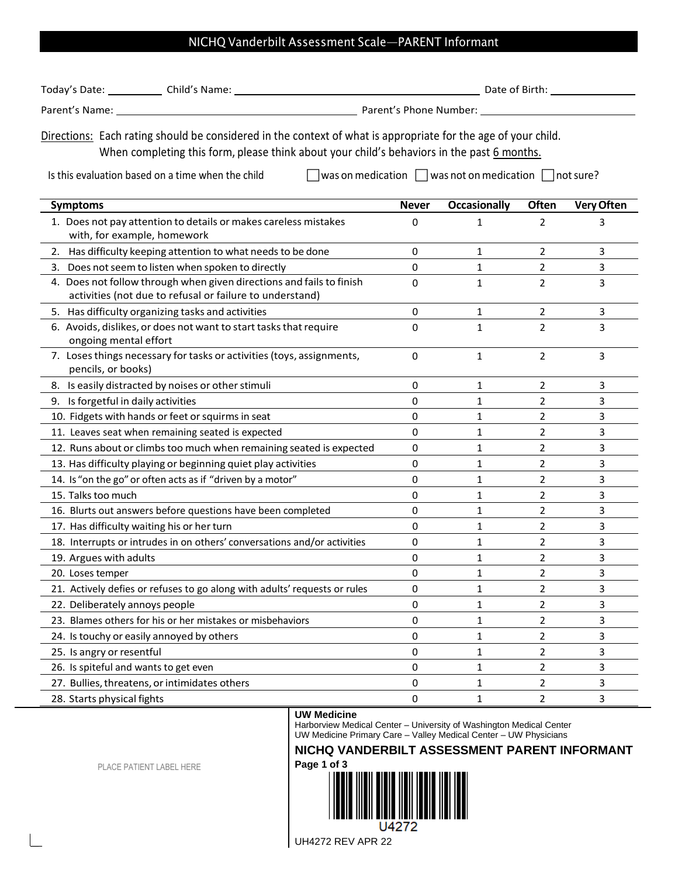## NICHQ Vanderbilt Assessment Scale—PARENT Informant

| Today's Date:  | Child's Name: | Date of Birth:         |
|----------------|---------------|------------------------|
| Parent's Name: |               | Parent's Phone Number: |

Directions: Each rating should be considered in the context of what is appropriate for the age of your child. When completing this form, please think about your child's behaviors in the past 6 months.

Is this evaluation based on a time when the child  $\Box$  was on medication  $\Box$  was not on medication  $\Box$  not sure?

| <b>Symptoms</b>                                                                                                                  | <b>Never</b> | <b>Occasionally</b> | Often          | <b>Very Often</b> |
|----------------------------------------------------------------------------------------------------------------------------------|--------------|---------------------|----------------|-------------------|
| 1. Does not pay attention to details or makes careless mistakes<br>with, for example, homework                                   | 0            | 1                   | 2              | 3                 |
| Has difficulty keeping attention to what needs to be done<br>2.                                                                  | 0            | 1                   | $\overline{2}$ | 3                 |
| 3. Does not seem to listen when spoken to directly                                                                               | 0            | 1                   | 2              | 3                 |
| 4. Does not follow through when given directions and fails to finish<br>activities (not due to refusal or failure to understand) | 0            | 1                   | $\overline{2}$ | 3                 |
| 5. Has difficulty organizing tasks and activities                                                                                | 0            | 1                   | 2              | 3                 |
| 6. Avoids, dislikes, or does not want to start tasks that require<br>ongoing mental effort                                       | 0            | $\mathbf{1}$        | $\overline{2}$ | 3                 |
| 7. Loses things necessary for tasks or activities (toys, assignments,<br>pencils, or books)                                      | 0            | 1                   | $\overline{2}$ | 3                 |
| 8. Is easily distracted by noises or other stimuli                                                                               | 0            | 1                   | 2              | 3                 |
| 9. Is forgetful in daily activities                                                                                              | 0            | 1                   | $\overline{2}$ | 3                 |
| 10. Fidgets with hands or feet or squirms in seat                                                                                | 0            | 1                   | $\overline{2}$ | 3                 |
| 11. Leaves seat when remaining seated is expected                                                                                | 0            | 1                   | $\overline{2}$ | 3                 |
| 12. Runs about or climbs too much when remaining seated is expected                                                              | 0            | 1                   | $\overline{2}$ | 3                 |
| 13. Has difficulty playing or beginning quiet play activities                                                                    | 0            | 1                   | $\overline{2}$ | 3                 |
| 14. Is "on the go" or often acts as if "driven by a motor"                                                                       | 0            | 1                   | $\overline{2}$ | 3                 |
| 15. Talks too much                                                                                                               | 0            | 1                   | 2              | 3                 |
| 16. Blurts out answers before questions have been completed                                                                      | 0            | 1                   | $\overline{2}$ | 3                 |
| 17. Has difficulty waiting his or her turn                                                                                       | 0            | 1                   | $\overline{2}$ | 3                 |
| 18. Interrupts or intrudes in on others' conversations and/or activities                                                         | 0            | 1                   | $\overline{2}$ | 3                 |
| 19. Argues with adults                                                                                                           | 0            | 1                   | 2              | 3                 |
| 20. Loses temper                                                                                                                 | 0            | 1                   | 2              | 3                 |
| 21. Actively defies or refuses to go along with adults' requests or rules                                                        | 0            | 1                   | $\overline{2}$ | 3                 |
| 22. Deliberately annoys people                                                                                                   | 0            | 1                   | 2              | 3                 |
| 23. Blames others for his or her mistakes or misbehaviors                                                                        | 0            | 1                   | $\overline{2}$ | 3                 |
| 24. Is touchy or easily annoyed by others                                                                                        | 0            | 1                   | 2              | 3                 |
| 25. Is angry or resentful                                                                                                        | 0            | $\mathbf 1$         | $\overline{2}$ | 3                 |
| 26. Is spiteful and wants to get even                                                                                            | 0            | 1                   | 2              | 3                 |
| 27. Bullies, threatens, or intimidates others                                                                                    | 0            | 1                   | 2              | 3                 |
| 28. Starts physical fights                                                                                                       | 0            | $\mathbf{1}$        | $\overline{2}$ | 3                 |

## **UW Medicine**

Harborview Medical Center – University of Washington Medical Center UW Medicine Primary Care – Valley Medical Center – UW Physicians

## **NICHQ VANDERBILT ASSESSMENT PARENT INFORMANT Page 1 of 3**

PLACE PATIENT LABEL HERE

r



UH4272 REV APR 22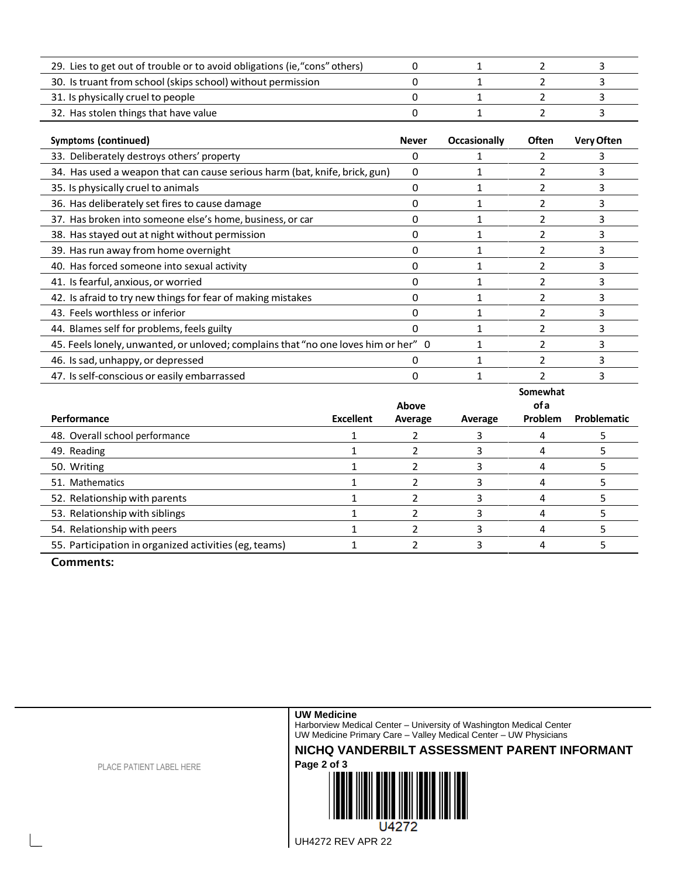| 29. Lies to get out of trouble or to avoid obligations (ie, "cons" others) |  |  |
|----------------------------------------------------------------------------|--|--|
| 30. Is truant from school (skips school) without permission                |  |  |
| 31. Is physically cruel to people                                          |  |  |
| 32. Has stolen things that have value                                      |  |  |

| <b>Symptoms (continued)</b>                                                        | <b>Never</b> | Occasionally | <b>Often</b> | <b>Very Often</b> |
|------------------------------------------------------------------------------------|--------------|--------------|--------------|-------------------|
| 33. Deliberately destroys others' property                                         | 0            |              |              | 3                 |
| 34. Has used a weapon that can cause serious harm (bat, knife, brick, gun)         | 0            |              |              |                   |
| 35. Is physically cruel to animals                                                 | O            |              |              | 3                 |
| 36. Has deliberately set fires to cause damage                                     | 0            |              |              | 3                 |
| 37. Has broken into someone else's home, business, or car                          | 0            |              |              | 3                 |
| 38. Has stayed out at night without permission                                     |              |              |              | 3                 |
| 39. Has run away from home overnight                                               | O            |              |              | 3                 |
| 40. Has forced someone into sexual activity                                        | 0            |              |              |                   |
| 41. Is fearful, anxious, or worried                                                | 0            |              |              |                   |
| 42. Is afraid to try new things for fear of making mistakes                        | 0            |              |              |                   |
| 43. Feels worthless or inferior                                                    | O            |              |              |                   |
| 44. Blames self for problems, feels guilty                                         |              |              |              |                   |
| 45. Feels lonely, unwanted, or unloved; complains that "no one loves him or her" 0 |              |              |              | 3                 |
| 46. Is sad, unhappy, or depressed                                                  |              |              |              |                   |
| 47. Is self-conscious or easily embarrassed                                        |              |              |              |                   |

|                                                       | Somewhat         |         |         |                |             |
|-------------------------------------------------------|------------------|---------|---------|----------------|-------------|
|                                                       | of a<br>Above    |         |         |                |             |
| Performance                                           | <b>Excellent</b> | Average | Average | <b>Problem</b> | Problematic |
| 48. Overall school performance                        |                  |         |         |                |             |
| 49. Reading                                           |                  |         |         |                |             |
| 50. Writing                                           |                  |         |         |                |             |
| 51. Mathematics                                       |                  |         |         |                |             |
| 52. Relationship with parents                         |                  |         |         |                |             |
| 53. Relationship with siblings                        |                  |         |         |                |             |
| 54. Relationship with peers                           |                  |         |         |                |             |
| 55. Participation in organized activities (eg, teams) |                  |         |         |                |             |

Comments:

**UW Medicine** 

Harborview Medical Center – University of Washington Medical Center UW Medicine Primary Care – Valley Medical Center – UW Physicians

**NICHQ VANDERBILT ASSESSMENT PARENT INFORMANT**



PLACE PATIENT LABEL HERE

UH4272 REV APR 22